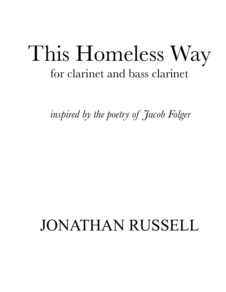# This Homeless Way for clarinet and bass clarinet

*inspired by the poetry of Jacob Folger*

# JONATHAN RUSSELL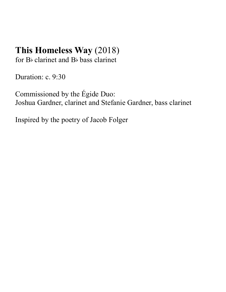# **This Homeless Way** (2018)

for Bb clarinet and Bb bass clarinet

Duration: c. 9:30

Commissioned by the Égide Duo: Joshua Gardner, clarinet and Stefanie Gardner, bass clarinet

Inspired by the poetry of Jacob Folger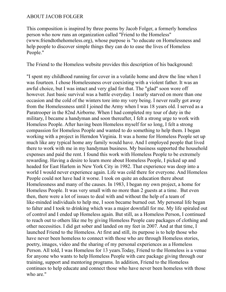### ABOUT JACOB FOLGER

This composition is inspired by three poems by Jacob Folger, a formerly homeless person who now runs an organization called "Friend to the Homeless" (www.friendtothehomeless.org), whose purpose is "to educate on Homelessness and help people to discover simple things they can do to ease the lives of Homeless People."

The Friend to the Homeless website provides this description of his background:

"I spent my childhood running for cover in a volatile home and drew the line when I was fourteen. I chose Homelessness over coexisting with a violent father. It was an awful choice, but I was intact and very glad for that. The "glad" soon wore off however. Just basic survival was a battle everyday. I nearly starved on more than one occasion and the cold of the winters tore into my very being. I never really got away from the Homelessness until I joined the Army when I was 18 years old. I served as a Paratrooper in the 82nd Airborne. When I had completed my tour of duty in the military, I became a handyman and soon thereafter, I felt a strong urge to work with Homeless People. After having been Homeless myself for so long, I felt a strong compassion for Homeless People and wanted to do something to help them. I began working with a project in Herndon Virginia. It was a home for Homeless People set up much like any typical home any family would have. And I employed people that lived there to work with me in my handyman business. My business supported the household expenses and paid the rent. I found this work with Homeless People to be extremely rewarding. Having a desire to learn more about Homeless People, I picked up and headed for East Harlem in New York City in 1982. That experience was deep into a world I would never experience again. Life was cold there for everyone. And Homeless People could not have had it worse. I took on quite an education there about Homelessness and many of the causes. In 1983, I began my own project, a home for Homeless People. It was very small with no more than 2 guests at a time. But even then, there were a lot of issues to deal with and without the help of a team of like-minded individuals to help me, I soon became burned out. My personal life began to falter and I took to drinking which was a major downfall for me. My life spiraled out of control and I ended up Homeless again. But still, as a Homeless Person, I continued to reach out to others like me by giving Homeless People care packages of clothing and other necessities. I did get sober and landed on my feet in 2007. And at that time, I launched Friend to the Homeless. At first and still, its purpose is to help those who have never been homeless to connect with those who are through Homeless stories, poetry, images, video and the sharing of my personal experiences as a Homeless Person. All told, I was Homeless for 13 years.Today, Friend to the Homeless is a venue for anyone who wants to help Homeless People with care package giving through our training, support and mentoring programs. In addition, Friend to the Homeless continues to help educate and connect those who have never been homeless with those who are."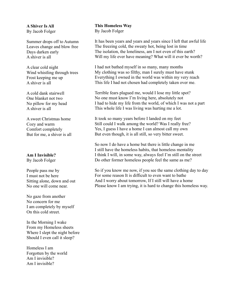## **A Shiver Is All**

By Jacob Folger

Summer drops off to Autumn Leaves change and blow free Days darken early A shiver is all

A clear cold night Wind whistling through trees Frost keeping me up A shiver is all

A cold dank stairwell One blanket not two No pillow for my head A shiver is all

A sweet Christmas home Cozy and warm Comfort completely But for me, a shiver is all

#### **Am I Invisible?**

By Jacob Folger

People pass me by I must not be here Sitting alone, down and out No one will come near.

No gaze from another No concern for me I am completely by myself On this cold street.

In the Morning I wake From my Homeless sheets Where I slept the night before Should I even call it sleep?

Homeless I am Forgotten by the world Am I invisible? Am I invisible?

### **This Homeless Way**

By Jacob Folger

It has been years and years and years since I left that awful life The freezing cold, the sweaty hot, being lost in time The isolation, the loneliness, am I not even of this earth? Will my life ever have meaning? What will it ever be worth?

I had not bathed myself in so many, many months My clothing was so filthy, man I surely must have stunk Everything I owned in the world was within my very reach This life I had not chosen had completely taken over me.

Terrible fears plagued me, would I lose my little spot? No one must know I'm living here, absolutely not I had to hide my life from the world, of which I was not a part This whole life I was living was hurting me a lot.

It took so many years before I landed on my feet Still could I walk among the world? Was I really free? Yes, I guess I have a home I can almost call my own But even though, it is all still, so very bitter sweet.

So now I do have a home but there is little change in me I still have the homeless habits, that homeless mentality I think I will, in some way, always feel I'm still on the street Do other former homeless people feel the same as me?

So if you know me now, if you see the same clothing day to day For some reason It is difficult to even want to bathe And I worry about tomorrow, If I still will have a home Please know I am trying, it is hard to change this homeless way.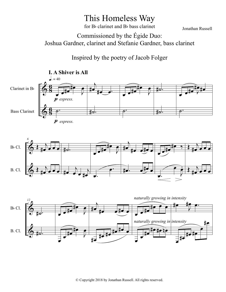## This Homeless Way

for Bb clarinet and Bb bass clarinet Jonathan Russell

Commissioned by the Égide Duo: Joshua Gardner, clarinet and Stefanie Gardner, bass clarinet

Inspired by the poetry of Jacob Folger

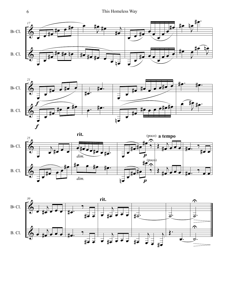





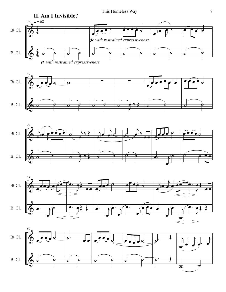







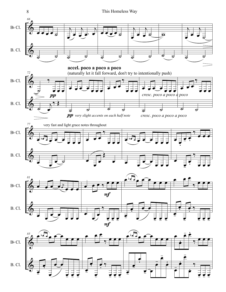

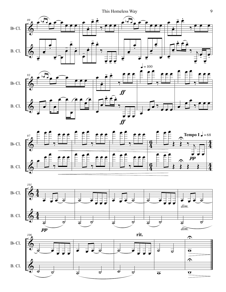This Homeless Way 9









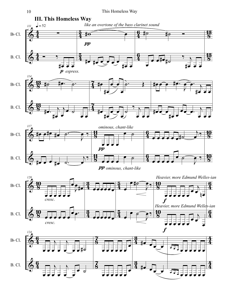#### 10 This Homeless Way